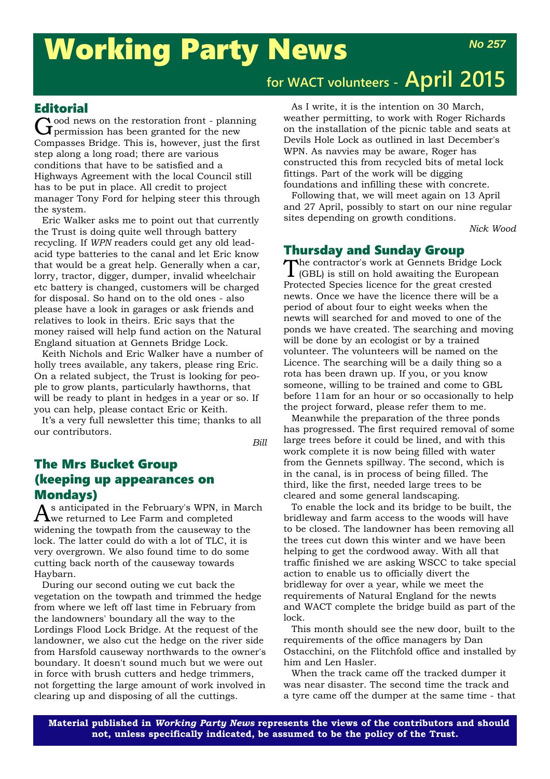# Working Party News

## **for WACT volunteers - April 2015**

### **Editorial**

Good news on the restoration front - planning<br>
Germission has been granted for the new Compasses Bridge. This is, however, just the first step along a long road; there are various conditions that have to be satisfied and a Highways Agreement with the local Council still has to be put in place. All credit to project manager Tony Ford for helping steer this through the system.

Eric Walker asks me to point out that currently the Trust is doing quite well through battery recycling. If *WPN* readers could get any old leadacid type batteries to the canal and let Eric know that would be a great help. Generally when a car, lorry, tractor, digger, dumper, invalid wheelchair etc battery is changed, customers will be charged for disposal. So hand on to the old ones - also please have a look in garages or ask friends and relatives to look in theirs. Eric says that the money raised will help fund action on the Natural England situation at Gennets Bridge Lock.

Keith Nichols and Eric Walker have a number of holly trees available, any takers, please ring Eric. On a related subject, the Trust is looking for people to grow plants, particularly hawthorns, that will be ready to plant in hedges in a year or so. If you can help, please contact Eric or Keith.

It's a very full newsletter this time; thanks to all our contributors.

*Bill*

### The Mrs Bucket Group (keeping up appearances on Mondays)

As anticipated in the February's WPN, in March we returned to Lee Farm and completed widening the towpath from the causeway to the lock. The latter could do with a lot of TLC, it is very overgrown. We also found time to do some cutting back north of the causeway towards Haybarn.

During our second outing we cut back the vegetation on the towpath and trimmed the hedge from where we left off last time in February from the landowners' boundary all the way to the Lordings Flood Lock Bridge. At the request of the landowner, we also cut the hedge on the river side from Harsfold causeway northwards to the owner's boundary. It doesn't sound much but we were out in force with brush cutters and hedge trimmers, not forgetting the large amount of work involved in clearing up and disposing of all the cuttings.

As I write, it is the intention on 30 March, weather permitting, to work with Roger Richards on the installation of the picnic table and seats at Devils Hole Lock as outlined in last December's WPN. As navvies may be aware, Roger has constructed this from recycled bits of metal lock fittings. Part of the work will be digging foundations and infilling these with concrete.

Following that, we will meet again on 13 April and 27 April, possibly to start on our nine regular sites depending on growth conditions.

*Nick Wood*

### Thursday and Sunday Group

The contractor's work at Gennets Bridge Lock (GBL) is still on hold awaiting the European Protected Species licence for the great crested newts. Once we have the licence there will be a period of about four to eight weeks when the newts will searched for and moved to one of the ponds we have created. The searching and moving will be done by an ecologist or by a trained volunteer. The volunteers will be named on the Licence. The searching will be a daily thing so a rota has been drawn up. If you, or you know someone, willing to be trained and come to GBL before 11am for an hour or so occasionally to help the project forward, please refer them to me.

Meanwhile the preparation of the three ponds has progressed. The first required removal of some large trees before it could be lined, and with this work complete it is now being filled with water from the Gennets spillway. The second, which is in the canal, is in process of being filled. The third, like the first, needed large trees to be cleared and some general landscaping.

To enable the lock and its bridge to be built, the bridleway and farm access to the woods will have to be closed. The landowner has been removing all the trees cut down this winter and we have been helping to get the cordwood away. With all that traffic finished we are asking WSCC to take special action to enable us to officially divert the bridleway for over a year, while we meet the requirements of Natural England for the newts and WACT complete the bridge build as part of the lock.

This month should see the new door, built to the requirements of the office managers by Dan Ostacchini, on the Flitchfold office and installed by him and Len Hasler.

When the track came off the tracked dumper it was near disaster. The second time the track and a tyre came off the dumper at the same time - that

**Material published in** *Working Party News* **represents the views of the contributors and should not, unless specifically indicated, be assumed to be the policy of the Trust.**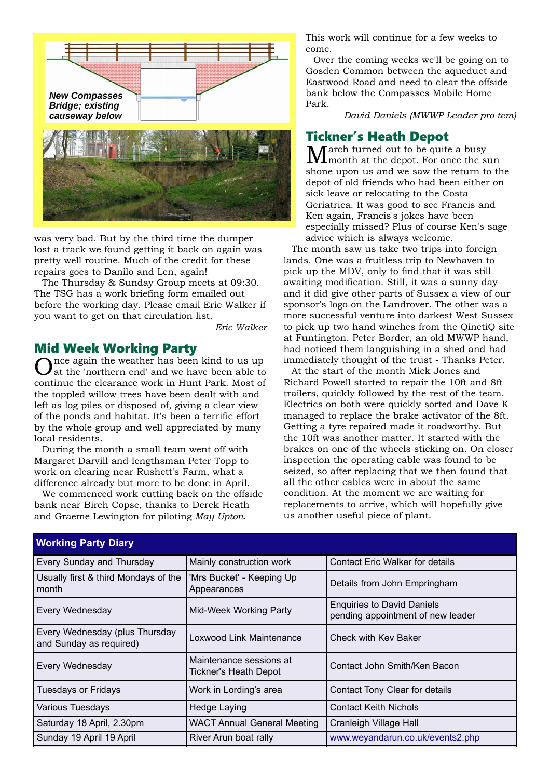

was very bad. But by the third time the dumper lost a track we found getting it back on again was pretty well routine. Much of the credit for these repairs goes to Danilo and Len, again!

The Thursday & Sunday Group meets at 09:30. The TSG has a work briefing form emailed out before the working day. Please email Eric Walker if you want to get on that circulation list.

*Eric Walker*

### Mid Week Working Party

nce again the weather has been kind to us up at the 'northern end' and we have been able to continue the clearance work in Hunt Park. Most of the toppled willow trees have been dealt with and left as log piles or disposed of, giving a clear view of the ponds and habitat. It's been a terrific effort by the whole group and well appreciated by many local residents.

During the month a small team went off with Margaret Darvill and lengthsman Peter Topp to work on clearing near Rushett's Farm, what a difference already but more to be done in April.

We commenced work cutting back on the offside bank near Birch Copse, thanks to Derek Heath and Graeme Lewington for piloting *May Upton*.

This work will continue for a few weeks to come.

Over the coming weeks we'll be going on to Gosden Common between the aqueduct and Eastwood Road and need to clear the offside bank below the Compasses Mobile Home Park.

*David Daniels (MWWP Leader pro-tem)*

### Tickner's Heath Depot

 $\sqrt{\phantom{a}}$  arch turned out to be quite a busy month at the depot. For once the sun shone upon us and we saw the return to the depot of old friends who had been either on sick leave or relocating to the Costa Geriatrica. It was good to see Francis and Ken again, Francis's jokes have been especially missed? Plus of course Ken's sage advice which is always welcome.

The month saw us take two trips into foreign lands. One was a fruitless trip to Newhaven to pick up the MDV, only to find that it was still awaiting modification. Still, it was a sunny day and it did give other parts of Sussex a view of our sponsor's logo on the Landrover. The other was a more successful venture into darkest West Sussex to pick up two hand winches from the QinetiQ site at Funtington. Peter Border, an old MWWP hand, had noticed them languishing in a shed and had immediately thought of the trust - Thanks Peter.

At the start of the month Mick Jones and Richard Powell started to repair the 10ft and 8ft trailers, quickly followed by the rest of the team. Electrics on both were quickly sorted and Dave K managed to replace the brake activator of the 8ft. Getting a tyre repaired made it roadworthy. But the 10ft was another matter. It started with the brakes on one of the wheels sticking on. On closer inspection the operating cable was found to be seized, so after replacing that we then found that all the other cables were in about the same condition. At the moment we are waiting for replacements to arrive, which will hopefully give us another useful piece of plant.

| <b>Working Party Diary</b>                                |                                                  |                                                                        |  |  |
|-----------------------------------------------------------|--------------------------------------------------|------------------------------------------------------------------------|--|--|
| Every Sunday and Thursday                                 | Mainly construction work                         | Contact Eric Walker for details                                        |  |  |
| Usually first & third Mondays of the<br>month             | 'Mrs Bucket' - Keeping Up<br>Appearances         | Details from John Empringham                                           |  |  |
| Every Wednesday                                           | Mid-Week Working Party                           | <b>Enquiries to David Daniels</b><br>pending appointment of new leader |  |  |
| Every Wednesday (plus Thursday<br>and Sunday as required) | Loxwood Link Maintenance                         | Check with Key Baker                                                   |  |  |
| Every Wednesday                                           | Maintenance sessions at<br>Tickner's Heath Depot | Contact John Smith/Ken Bacon                                           |  |  |
| <b>Tuesdays or Fridays</b>                                | Work in Lording's area                           | Contact Tony Clear for details                                         |  |  |
| Various Tuesdays                                          | Hedge Laying                                     | <b>Contact Keith Nichols</b>                                           |  |  |
| Saturday 18 April, 2.30pm                                 | <b>WACT Annual General Meeting</b>               | Cranleigh Village Hall                                                 |  |  |
| Sunday 19 April 19 April                                  | River Arun boat rally                            | www.weyandarun.co.uk/events2.php                                       |  |  |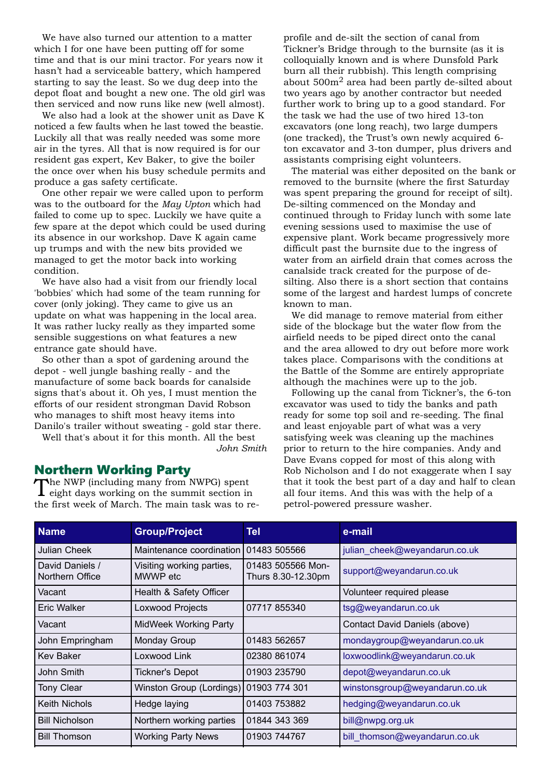We have also turned our attention to a matter which I for one have been putting off for some time and that is our mini tractor. For years now it hasn't had a serviceable battery, which hampered starting to say the least. So we dug deep into the depot float and bought a new one. The old girl was then serviced and now runs like new (well almost).

We also had a look at the shower unit as Dave K noticed a few faults when he last towed the beastie. Luckily all that was really needed was some more air in the tyres. All that is now required is for our resident gas expert, Kev Baker, to give the boiler the once over when his busy schedule permits and produce a gas safety certificate.

One other repair we were called upon to perform was to the outboard for the *May Upton* which had failed to come up to spec. Luckily we have quite a few spare at the depot which could be used during its absence in our workshop. Dave K again came up trumps and with the new bits provided we managed to get the motor back into working condition.

We have also had a visit from our friendly local 'bobbies' which had some of the team running for cover (only joking). They came to give us an update on what was happening in the local area. It was rather lucky really as they imparted some sensible suggestions on what features a new entrance gate should have.

So other than a spot of gardening around the depot - well jungle bashing really - and the manufacture of some back boards for canalside signs that's about it. Oh yes, I must mention the efforts of our resident strongman David Robson who manages to shift most heavy items into Danilo's trailer without sweating - gold star there.

Well that's about it for this month. All the best

*John Smith*

### Northern Working Party<br>
The NWP (including many from NWPG) spent

The NWP (including many from NWPG) spent eight days working on the summit section in the first week of March. The main task was to re-

profile and de-silt the section of canal from Tickner's Bridge through to the burnsite (as it is colloquially known and is where Dunsfold Park burn all their rubbish). This length comprising about  $500m^2$  area had been partly de-silted about two years ago by another contractor but needed further work to bring up to a good standard. For the task we had the use of two hired 13-ton excavators (one long reach), two large dumpers (one tracked), the Trust's own newly acquired 6 ton excavator and 3-ton dumper, plus drivers and assistants comprising eight volunteers.

The material was either deposited on the bank or removed to the burnsite (where the first Saturday was spent preparing the ground for receipt of silt). De-silting commenced on the Monday and continued through to Friday lunch with some late evening sessions used to maximise the use of expensive plant. Work became progressively more difficult past the burnsite due to the ingress of water from an airfield drain that comes across the canalside track created for the purpose of desilting. Also there is a short section that contains some of the largest and hardest lumps of concrete known to man.

We did manage to remove material from either side of the blockage but the water flow from the airfield needs to be piped direct onto the canal and the area allowed to dry out before more work takes place. Comparisons with the conditions at the Battle of the Somme are entirely appropriate although the machines were up to the job.

Following up the canal from Tickner's, the 6-ton excavator was used to tidy the banks and path ready for some top soil and re-seeding. The final and least enjoyable part of what was a very satisfying week was cleaning up the machines prior to return to the hire companies. Andy and Dave Evans copped for most of this along with Rob Nicholson and I do not exaggerate when I say that it took the best part of a day and half to clean all four items. And this was with the help of a petrol-powered pressure washer.

| <b>Name</b>                        | <b>Group/Project</b>                  | Tel                                     | e-mail                         |
|------------------------------------|---------------------------------------|-----------------------------------------|--------------------------------|
| <b>Julian Cheek</b>                | Maintenance coordination              | 01483 505566                            | julian_cheek@weyandarun.co.uk  |
| David Daniels /<br>Northern Office | Visiting working parties,<br>MWWP etc | 01483 505566 Mon-<br>Thurs 8.30-12.30pm | support@weyandarun.co.uk       |
| Vacant                             | Health & Safety Officer               |                                         | Volunteer required please      |
| <b>Eric Walker</b>                 | Loxwood Projects                      | 07717 855340                            | tsg@weyandarun.co.uk           |
| Vacant                             | <b>MidWeek Working Party</b>          |                                         | Contact David Daniels (above)  |
| John Empringham                    | Monday Group                          | 01483 562657                            | mondaygroup@weyandarun.co.uk   |
| <b>Kev Baker</b>                   | Loxwood Link                          | 02380 861074                            | loxwoodlink@weyandarun.co.uk   |
| John Smith                         | <b>Tickner's Depot</b>                | 01903 235790                            | depot@weyandarun.co.uk         |
| <b>Tony Clear</b>                  | Winston Group (Lordings)              | 01903 774 301                           | winstonsgroup@weyandarun.co.uk |
| <b>Keith Nichols</b>               | Hedge laying                          | 01403 753882                            | hedging@weyandarun.co.uk       |
| <b>Bill Nicholson</b>              | Northern working parties              | 01844 343 369                           | bill@nwpg.org.uk               |
| <b>Bill Thomson</b>                | <b>Working Party News</b>             | 01903 744767                            | bill_thomson@weyandarun.co.uk  |